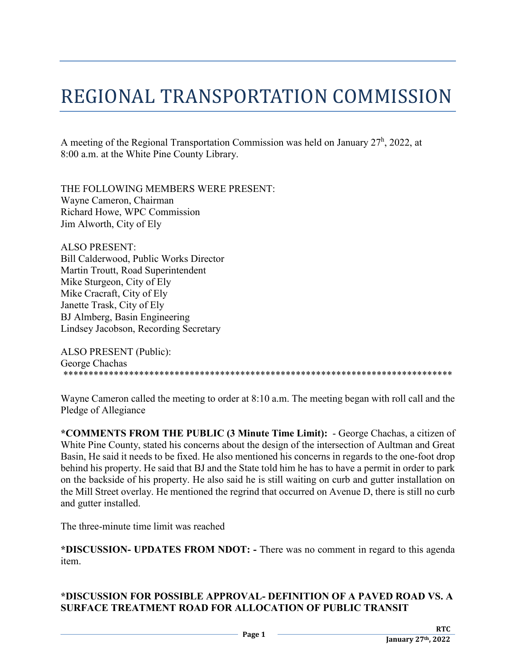## REGIONAL TRANSPORTATION COMMISSION

A meeting of the Regional Transportation Commission was held on January  $27<sup>h</sup>$ , 2022, at 8:00 a.m. at the White Pine County Library.

THE FOLLOWING MEMBERS WERE PRESENT: Wayne Cameron, Chairman Richard Howe, WPC Commission Jim Alworth, City of Ely

ALSO PRESENT: Bill Calderwood, Public Works Director Martin Troutt, Road Superintendent Mike Sturgeon, City of Ely Mike Cracraft, City of Ely Janette Trask, City of Ely BJ Almberg, Basin Engineering Lindsey Jacobson, Recording Secretary

ALSO PRESENT (Public): George Chachas<br>\*\*\*\*\*\*\*\*\*\*\*\*\*\*\* \*\*\*\*\*\*\*\*\*\*\*\*\*\*\*\*\*\*\*\*\*\*\*\*\*\*\*\*\*\*\*\*\*\*\*\*\*\*\*\*\*\*\*\*\*\*\*\*\*\*\*\*\*\*\*\*\*\*\*\*\*\*\*\*\*\*\*\*\*\*\*\*\*\*\*\*\*

Wayne Cameron called the meeting to order at 8:10 a.m. The meeting began with roll call and the Pledge of Allegiance

**\*COMMENTS FROM THE PUBLIC (3 Minute Time Limit):** - George Chachas, a citizen of White Pine County, stated his concerns about the design of the intersection of Aultman and Great Basin, He said it needs to be fixed. He also mentioned his concerns in regards to the one-foot drop behind his property. He said that BJ and the State told him he has to have a permit in order to park on the backside of his property. He also said he is still waiting on curb and gutter installation on the Mill Street overlay. He mentioned the regrind that occurred on Avenue D, there is still no curb and gutter installed.

The three-minute time limit was reached

**\*DISCUSSION- UPDATES FROM NDOT: -** There was no comment in regard to this agenda item.

## **\*DISCUSSION FOR POSSIBLE APPROVAL- DEFINITION OF A PAVED ROAD VS. A SURFACE TREATMENT ROAD FOR ALLOCATION OF PUBLIC TRANSIT**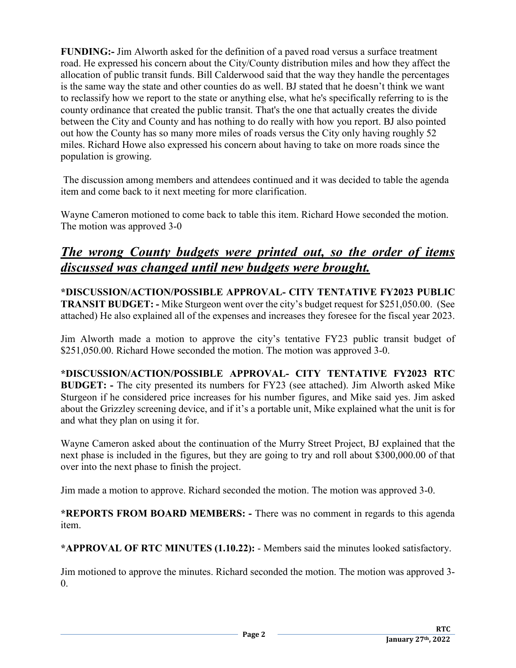**FUNDING:-** Jim Alworth asked for the definition of a paved road versus a surface treatment road. He expressed his concern about the City/County distribution miles and how they affect the allocation of public transit funds. Bill Calderwood said that the way they handle the percentages is the same way the state and other counties do as well. BJ stated that he doesn't think we want to reclassify how we report to the state or anything else, what he's specifically referring to is the county ordinance that created the public transit. That's the one that actually creates the divide between the City and County and has nothing to do really with how you report. BJ also pointed out how the County has so many more miles of roads versus the City only having roughly 52 miles. Richard Howe also expressed his concern about having to take on more roads since the population is growing.

The discussion among members and attendees continued and it was decided to table the agenda item and come back to it next meeting for more clarification.

Wayne Cameron motioned to come back to table this item. Richard Howe seconded the motion. The motion was approved 3-0

## *The wrong County budgets were printed out, so the order of items discussed was changed until new budgets were brought.*

**\*DISCUSSION/ACTION/POSSIBLE APPROVAL- CITY TENTATIVE FY2023 PUBLIC TRANSIT BUDGET: -** Mike Sturgeon went over the city's budget request for \$251,050.00. (See attached) He also explained all of the expenses and increases they foresee for the fiscal year 2023.

Jim Alworth made a motion to approve the city's tentative FY23 public transit budget of \$251,050.00. Richard Howe seconded the motion. The motion was approved 3-0.

**\*DISCUSSION/ACTION/POSSIBLE APPROVAL- CITY TENTATIVE FY2023 RTC BUDGET: -** The city presented its numbers for FY23 (see attached). Jim Alworth asked Mike Sturgeon if he considered price increases for his number figures, and Mike said yes. Jim asked about the Grizzley screening device, and if it's a portable unit, Mike explained what the unit is for and what they plan on using it for.

Wayne Cameron asked about the continuation of the Murry Street Project, BJ explained that the next phase is included in the figures, but they are going to try and roll about \$300,000.00 of that over into the next phase to finish the project.

Jim made a motion to approve. Richard seconded the motion. The motion was approved 3-0.

**\*REPORTS FROM BOARD MEMBERS: -** There was no comment in regards to this agenda item.

**\*APPROVAL OF RTC MINUTES (1.10.22):** - Members said the minutes looked satisfactory.

Jim motioned to approve the minutes. Richard seconded the motion. The motion was approved 3-  $\Omega$ .